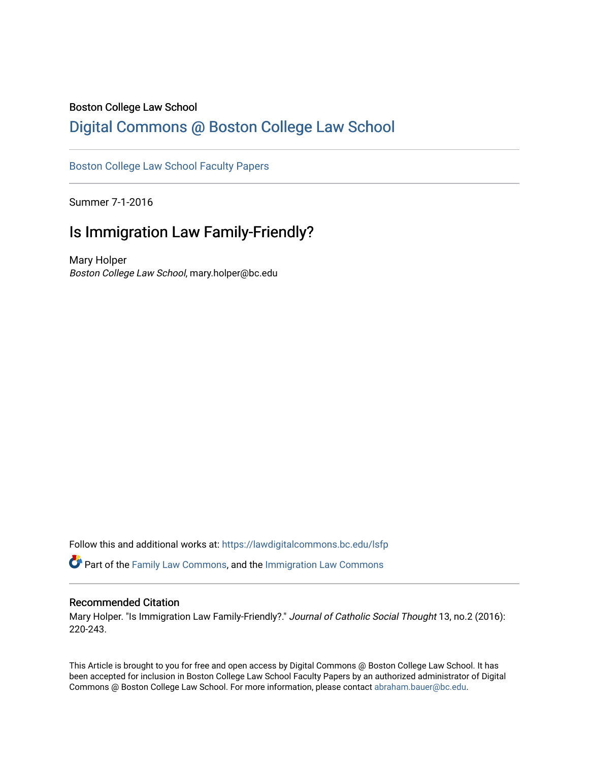## Boston College Law School

# [Digital Commons @ Boston College Law School](https://lawdigitalcommons.bc.edu/)

## [Boston College Law School Faculty Papers](https://lawdigitalcommons.bc.edu/lsfp)

Summer 7-1-2016

# Is Immigration Law Family-Friendly?

Mary Holper Boston College Law School, mary.holper@bc.edu

Follow this and additional works at: [https://lawdigitalcommons.bc.edu/lsfp](https://lawdigitalcommons.bc.edu/lsfp?utm_source=lawdigitalcommons.bc.edu%2Flsfp%2F1068&utm_medium=PDF&utm_campaign=PDFCoverPages) 

Part of the [Family Law Commons,](http://network.bepress.com/hgg/discipline/602?utm_source=lawdigitalcommons.bc.edu%2Flsfp%2F1068&utm_medium=PDF&utm_campaign=PDFCoverPages) and the [Immigration Law Commons](http://network.bepress.com/hgg/discipline/604?utm_source=lawdigitalcommons.bc.edu%2Flsfp%2F1068&utm_medium=PDF&utm_campaign=PDFCoverPages) 

#### Recommended Citation

Mary Holper. "Is Immigration Law Family-Friendly?." Journal of Catholic Social Thought 13, no.2 (2016): 220-243.

This Article is brought to you for free and open access by Digital Commons @ Boston College Law School. It has been accepted for inclusion in Boston College Law School Faculty Papers by an authorized administrator of Digital Commons @ Boston College Law School. For more information, please contact [abraham.bauer@bc.edu.](mailto:abraham.bauer@bc.edu)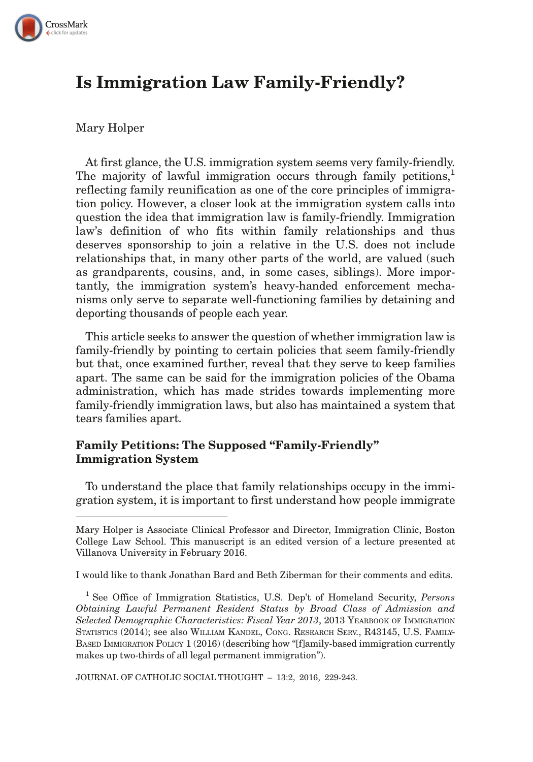

# Is Immigration Law Family-Friendly?

#### Mary Holper

At first glance, the U.S. immigration system seems very family-friendly. The majority of lawful immigration occurs through family petitions, reflecting family reunification as one of the core principles of immigration policy. However, a closer look at the immigration system calls into question the idea that immigration law is family-friendly. Immigration law's definition of who fits within family relationships and thus deserves sponsorship to join a relative in the U.S. does not include relationships that, in many other parts of the world, are valued (such as grandparents, cousins, and, in some cases, siblings). More importantly, the immigration system's heavy-handed enforcement mechanisms only serve to separate well-functioning families by detaining and deporting thousands of people each year.

This article seeks to answer the question of whether immigration law is family-friendly by pointing to certain policies that seem family-friendly but that, once examined further, reveal that they serve to keep families apart. The same can be said for the immigration policies of the Obama administration, which has made strides towards implementing more family-friendly immigration laws, but also has maintained a system that tears families apart.

### Family Petitions: The Supposed "Family-Friendly" Immigration System

To understand the place that family relationships occupy in the immigration system, it is important to first understand how people immigrate

I would like to thank Jonathan Bard and Beth Ziberman for their comments and edits.

JOURNAL OF CATHOLIC SOCIAL THOUGHT – 13:2, 2016, 229-243.

Mary Holper is Associate Clinical Professor and Director, Immigration Clinic, Boston College Law School. This manuscript is an edited version of a lecture presented at Villanova University in February 2016.

<sup>&</sup>lt;sup>1</sup> See Office of Immigration Statistics, U.S. Dep't of Homeland Security, Persons Obtaining Lawful Permanent Resident Status by Broad Class of Admission and Selected Demographic Characteristics: Fiscal Year 2013, 2013 YEARBOOK OF IMMIGRATION STATISTICS (2014); see also WILLIAM KANDEL, CONG. RESEARCH SERV., R43145, U.S. FAMILY-BASED IMMIGRATION POLICY 1 (2016) (describing how "[f]amily-based immigration currently makes up two-thirds of all legal permanent immigration").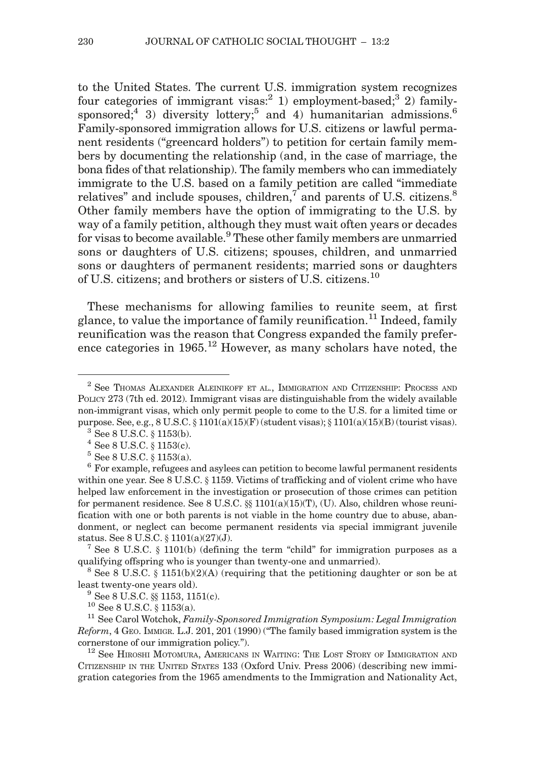to the United States. The current U.S. immigration system recognizes four categories of immigrant visas:<sup>2</sup> 1) employment-based;<sup>3</sup> 2) familysponsored;<sup>4</sup> 3) diversity lottery;<sup>5</sup> and 4) humanitarian admissions.<sup>6</sup> Family-sponsored immigration allows for U.S. citizens or lawful permanent residents ("greencard holders") to petition for certain family members by documenting the relationship (and, in the case of marriage, the bona fides of that relationship). The family members who can immediately immigrate to the U.S. based on a family petition are called "immediate relatives" and include spouses, children, $7$  and parents of U.S. citizens. $8$ Other family members have the option of immigrating to the U.S. by way of a family petition, although they must wait often years or decades for visas to become available.<sup>9</sup> These other family members are unmarried sons or daughters of U.S. citizens; spouses, children, and unmarried sons or daughters of permanent residents; married sons or daughters of U.S. citizens; and brothers or sisters of U.S. citizens.<sup>10</sup>

These mechanisms for allowing families to reunite seem, at first glance, to value the importance of family reunification.<sup>11</sup> Indeed, family reunification was the reason that Congress expanded the family preference categories in  $1965$ <sup>12</sup> However, as many scholars have noted, the

status. See 8 U.S.C.  $\S$  1101(a)(27)(J).<br><sup>7</sup> See 8 U.S.C.  $\S$  1101(b) (defining the term "child" for immigration purposes as a qualifying offspring who is younger than twenty-one and unmarried).

<sup>8</sup> See 8 U.S.C. § 1151(b)(2)(A) (requiring that the petitioning daughter or son be at least twenty-one years old).<br><sup>9</sup> See 8 U.S.C. §§ 1153, 1151(c).<br><sup>10</sup> See 8 U.S.C. § 1153(a). <sup>11</sup> See Carol Wotchok, *Family-Sponsored Immigration Symposium: Legal Immigration* 

Reform,4GEO. IMMIGR. L.J. 201, 201 (1990) ("The family based immigration system is the cornerstone of our immigration policy.").<br><sup>12</sup> See HIROSHI MOTOMURA, AMERICANS IN WAITING: THE LOST STORY OF IMMIGRATION AND

CITIZENSHIP IN THE UNITED STATES 133 (Oxford Univ. Press 2006) (describing new immigration categories from the 1965 amendments to the Immigration and Nationality Act,

<sup>2</sup> See THOMAS ALEXANDER ALEINIKOFF ET AL., IMMIGRATION AND CITIZENSHIP: PROCESS AND POLICY 273 (7th ed. 2012). Immigrant visas are distinguishable from the widely available non-immigrant visas, which only permit people to come to the U.S. for a limited time or purpose. See, e.g., 8 U.S.C. § 1101(a)(15)(F) (student visas); § 1101(a)(15)(B) (tourist visas).<br>
<sup>3</sup> See 8 U.S.C. § 1153(b).<br>
<sup>4</sup> See 8 U.S.C. § 1153(c).<br>
<sup>5</sup> See 8 U.S.C. § 1153(a).<br>
<sup>6</sup> For example, refugees and asylee

within one year. See 8 U.S.C.  $\S 1159$ . Victims of trafficking and of violent crime who have helped law enforcement in the investigation or prosecution of those crimes can petition for permanent residence. See 8 U.S.C.  $\S$  1101(a)(15)(T), (U). Also, children whose reunification with one or both parents is not viable in the home country due to abuse, abandonment, or neglect can become permanent residents via special immigrant juvenile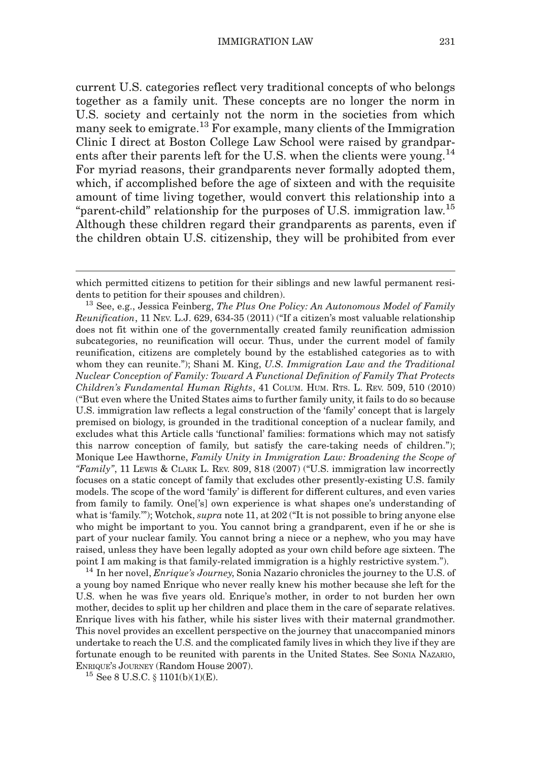current U.S. categories reflect very traditional concepts of who belongs together as a family unit. These concepts are no longer the norm in U.S. society and certainly not the norm in the societies from which many seek to emigrate.13 For example, many clients of the Immigration Clinic I direct at Boston College Law School were raised by grandparents after their parents left for the U.S. when the clients were young.<sup>14</sup> For myriad reasons, their grandparents never formally adopted them, which, if accomplished before the age of sixteen and with the requisite amount of time living together, would convert this relationship into a "parent-child" relationship for the purposes of U.S. immigration law.<sup>15</sup> Although these children regard their grandparents as parents, even if the children obtain U.S. citizenship, they will be prohibited from ever

a young boy named Enrique who never really knew his mother because she left for the U.S. when he was five years old. Enrique's mother, in order to not burden her own mother, decides to split up her children and place them in the care of separate relatives. Enrique lives with his father, while his sister lives with their maternal grandmother. This novel provides an excellent perspective on the journey that unaccompanied minors undertake to reach the U.S. and the complicated family lives in which they live if they are fortunate enough to be reunited with parents in the United States. See SONIA NAZARIO, ENRIQUE'S JOURNEY (Random House 2007).<br><sup>15</sup> See 8 U.S.C.  $\S$  1101(b)(1)(E).

which permitted citizens to petition for their siblings and new lawful permanent resi-

dents to petition for their spouses and children).<br><sup>13</sup> See, e.g., Jessica Feinberg, *The Plus One Policy: An Autonomous Model of Family* Reunification, 11 NEV. L.J. 629, 634-35 (2011) ("If a citizen's most valuable relationship does not fit within one of the governmentally created family reunification admission subcategories, no reunification will occur. Thus, under the current model of family reunification, citizens are completely bound by the established categories as to with whom they can reunite."); Shani M. King, U.S. Immigration Law and the Traditional Nuclear Conception of Family: Toward A Functional Definition of Family That Protects Children's Fundamental Human Rights, 41 COLUM. HUM. RTS. L. REV. 509, 510 (2010) ("But even where the United States aims to further family unity, it fails to do so because U.S. immigration law reflects a legal construction of the 'family' concept that is largely premised on biology, is grounded in the traditional conception of a nuclear family, and excludes what this Article calls 'functional' families: formations which may not satisfy this narrow conception of family, but satisfy the care-taking needs of children."); Monique Lee Hawthorne, Family Unity in Immigration Law: Broadening the Scope of "Family", 11 Lewis & CLARK L. Rev. 809, 818 (2007) ("U.S. immigration law incorrectly focuses on a static concept of family that excludes other presently-existing U.S. family models. The scope of the word 'family' is different for different cultures, and even varies from family to family. One['s] own experience is what shapes one's understanding of what is 'family.'"); Wotchok, *supra* note 11, at 202 ("It is not possible to bring anyone else who might be important to you. You cannot bring a grandparent, even if he or she is part of your nuclear family. You cannot bring a niece or a nephew, who you may have raised, unless they have been legally adopted as your own child before age sixteen. The point I am making is that family-related immigration is a highly restrictive system."). <sup>14</sup> In her novel, *Enrique's Journey*, Sonia Nazario chronicles the journey to the U.S. of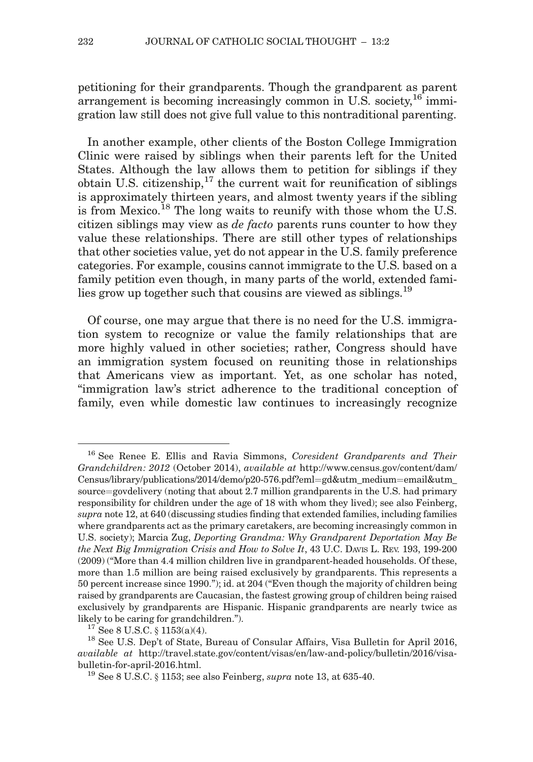petitioning for their grandparents. Though the grandparent as parent arrangement is becoming increasingly common in U.S. society,  $^{16}$  immigration law still does not give full value to this nontraditional parenting.

In another example, other clients of the Boston College Immigration Clinic were raised by siblings when their parents left for the United States. Although the law allows them to petition for siblings if they obtain U.S. citizenship, $17$  the current wait for reunification of siblings is approximately thirteen years, and almost twenty years if the sibling is from Mexico.<sup>18</sup> The long waits to reunify with those whom the U.S. citizen siblings may view as de facto parents runs counter to how they value these relationships. There are still other types of relationships that other societies value, yet do not appear in the U.S. family preference categories. For example, cousins cannot immigrate to the U.S. based on a family petition even though, in many parts of the world, extended families grow up together such that cousins are viewed as siblings.<sup>19</sup>

Of course, one may argue that there is no need for the U.S. immigration system to recognize or value the family relationships that are more highly valued in other societies; rather, Congress should have an immigration system focused on reuniting those in relationships that Americans view as important. Yet, as one scholar has noted, "immigration law's strict adherence to the traditional conception of family, even while domestic law continues to increasingly recognize

<sup>&</sup>lt;sup>16</sup> See Renee E. Ellis and Ravia Simmons, Coresident Grandparents and Their Grandchildren: 2012 (October 2014), available at http://www.census.gov/content/dam/  $Census/library/publications/2014/demo/p20-576.pdf?eml = gd&utm medium = email&utm$ source=govdelivery (noting that about  $2.7$  million grandparents in the U.S. had primary responsibility for children under the age of 18 with whom they lived); see also Feinberg, supra note 12, at 640 (discussing studies finding that extended families, including families where grandparents act as the primary caretakers, are becoming increasingly common in U.S. society); Marcia Zug, Deporting Grandma: Why Grandparent Deportation May Be the Next Big Immigration Crisis and How to Solve It, 43 U.C. DAVIS L. REV. 193, 199-200 (2009) ("More than 4.4 million children live in grandparent-headed households. Of these, more than 1.5 million are being raised exclusively by grandparents. This represents a 50 percent increase since 1990."); id. at 204 ("Even though the majority of children being raised by grandparents are Caucasian, the fastest growing group of children being raised exclusively by grandparents are Hispanic. Hispanic grandparents are nearly twice as likely to be caring for grandchildren.").<br><sup>17</sup> See 8 U.S.C. § 1153(a)(4).<br><sup>18</sup> See U.S. Dep't of State, Bureau of Consular Affairs, Visa Bulletin for April 2016,

available at http://travel.state.gov/content/visas/en/law-and-policy/bulletin/2016/visabulletin-for-april-2016.html.<br><sup>19</sup> See 8 U.S.C. § 1153; see also Feinberg, *supra* note 13, at 635-40.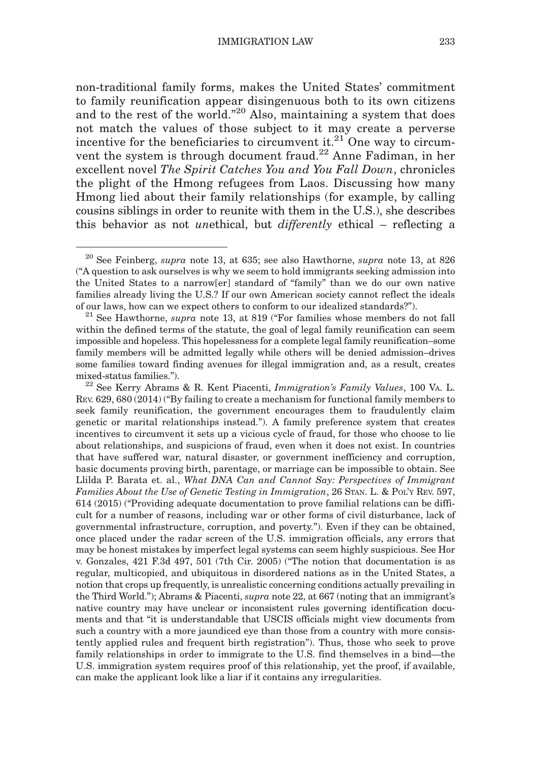non-traditional family forms, makes the United States' commitment to family reunification appear disingenuous both to its own citizens and to the rest of the world."<sup>20</sup> Also, maintaining a system that does not match the values of those subject to it may create a perverse incentive for the beneficiaries to circumvent it. $21$  One way to circumvent the system is through document fraud.<sup>22</sup> Anne Fadiman, in her excellent novel The Spirit Catches You and You Fall Down, chronicles the plight of the Hmong refugees from Laos. Discussing how many Hmong lied about their family relationships (for example, by calling cousins siblings in order to reunite with them in the U.S.), she describes this behavior as not unethical, but differently ethical – reflecting a

 $^{20}$  See Feinberg, supra note 13, at 635; see also Hawthorne, supra note 13, at 826 ("A question to ask ourselves is why we seem to hold immigrants seeking admission into the United States to a narrow[er] standard of "family" than we do our own native families already living the U.S.? If our own American society cannot reflect the ideals of our laws, how can we expect others to conform to our idealized standards?").<br><sup>21</sup> See Hawthorne, *supra* note 13, at 819 ("For families whose members do not fall

within the defined terms of the statute, the goal of legal family reunification can seem impossible and hopeless. This hopelessness for a complete legal family reunification–some family members will be admitted legally while others will be denied admission–drives some families toward finding avenues for illegal immigration and, as a result, creates

mixed-status families."). 22 See Kerry Abrams & R. Kent Piacenti, *Immigration's Family Values*, 100 Va. L. REV. 629, 680 (2014) ("By failing to create a mechanism for functional family members to seek family reunification, the government encourages them to fraudulently claim genetic or marital relationships instead."). A family preference system that creates incentives to circumvent it sets up a vicious cycle of fraud, for those who choose to lie about relationships, and suspicions of fraud, even when it does not exist. In countries that have suffered war, natural disaster, or government inefficiency and corruption, basic documents proving birth, parentage, or marriage can be impossible to obtain. See Llilda P. Barata et. al., What DNA Can and Cannot Say: Perspectives of Immigrant Families About the Use of Genetic Testing in Immigration, 26 STAN. L. & POL'Y REV. 597, 614 (2015) ("Providing adequate documentation to prove familial relations can be difficult for a number of reasons, including war or other forms of civil disturbance, lack of governmental infrastructure, corruption, and poverty."). Even if they can be obtained, once placed under the radar screen of the U.S. immigration officials, any errors that may be honest mistakes by imperfect legal systems can seem highly suspicious. See Hor v. Gonzales, 421 F.3d 497, 501 (7th Cir. 2005) ("The notion that documentation is as regular, multicopied, and ubiquitous in disordered nations as in the United States, a notion that crops up frequently, is unrealistic concerning conditions actually prevailing in the Third World."); Abrams & Piacenti, supra note 22, at 667 (noting that an immigrant's native country may have unclear or inconsistent rules governing identification documents and that "it is understandable that USCIS officials might view documents from such a country with a more jaundiced eye than those from a country with more consistently applied rules and frequent birth registration"). Thus, those who seek to prove family relationships in order to immigrate to the U.S. find themselves in a bind—the U.S. immigration system requires proof of this relationship, yet the proof, if available, can make the applicant look like a liar if it contains any irregularities.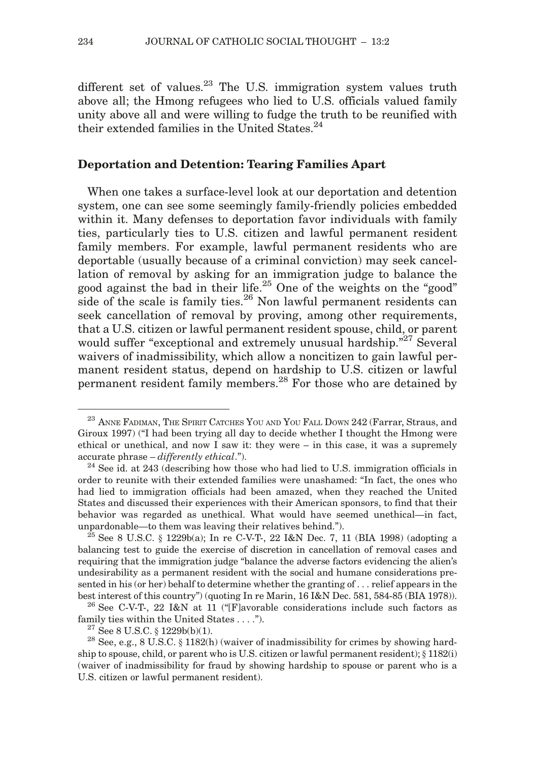different set of values. $^{23}$  The U.S. immigration system values truth above all; the Hmong refugees who lied to U.S. officials valued family unity above all and were willing to fudge the truth to be reunified with their extended families in the United States.<sup>24</sup>

#### Deportation and Detention: Tearing Families Apart

When one takes a surface-level look at our deportation and detention system, one can see some seemingly family-friendly policies embedded within it. Many defenses to deportation favor individuals with family ties, particularly ties to U.S. citizen and lawful permanent resident family members. For example, lawful permanent residents who are deportable (usually because of a criminal conviction) may seek cancellation of removal by asking for an immigration judge to balance the good against the bad in their life.25 One of the weights on the "good" side of the scale is family ties. $26$  Non lawful permanent residents can seek cancellation of removal by proving, among other requirements, that a U.S. citizen or lawful permanent resident spouse, child, or parent would suffer "exceptional and extremely unusual hardship."<sup>27</sup> Several waivers of inadmissibility, which allow a noncitizen to gain lawful permanent resident status, depend on hardship to U.S. citizen or lawful permanent resident family members.<sup>28</sup> For those who are detained by

 $^{23}$  ANNE FADIMAN, THE SPIRIT CATCHES YOU AND YOU FALL DOWN  $242$  (Farrar, Straus, and Giroux 1997) ("I had been trying all day to decide whether I thought the Hmong were ethical or unethical, and now I saw it: they were – in this case, it was a supremely accurate phrase – *differently ethical*."). <sup>24</sup> See id. at 243 (describing how those who had lied to U.S. immigration officials in

order to reunite with their extended families were unashamed: "In fact, the ones who had lied to immigration officials had been amazed, when they reached the United States and discussed their experiences with their American sponsors, to find that their behavior was regarded as unethical. What would have seemed unethical—in fact, unpardonable—to them was leaving their relatives behind.").<br><sup>25</sup> See 8 U.S.C. § 1229b(a); In re C-V-T-, 22 I&N Dec. 7, 11 (BIA 1998) (adopting a

balancing test to guide the exercise of discretion in cancellation of removal cases and requiring that the immigration judge "balance the adverse factors evidencing the alien's undesirability as a permanent resident with the social and humane considerations presented in his (or her) behalf to determine whether the granting of . . . relief appears in the best interest of this country") (quoting In re Marin, 16 I&N Dec. 581, 584-85 (BIA 1978)). <sup>26</sup> See C-V-T-, 22 I&N at 11 ("[F]avorable considerations include such factors as

family ties within the United States . . . .").<br><sup>27</sup> See 8 U.S.C. § 1229b(b)(1). <sup>28</sup> See, e.g., 8 U.S.C. § 1182(h) (waiver of inadmissibility for crimes by showing hard-

ship to spouse, child, or parent who is U.S. citizen or lawful permanent resident);  $\S 1182(i)$ (waiver of inadmissibility for fraud by showing hardship to spouse or parent who is a U.S. citizen or lawful permanent resident).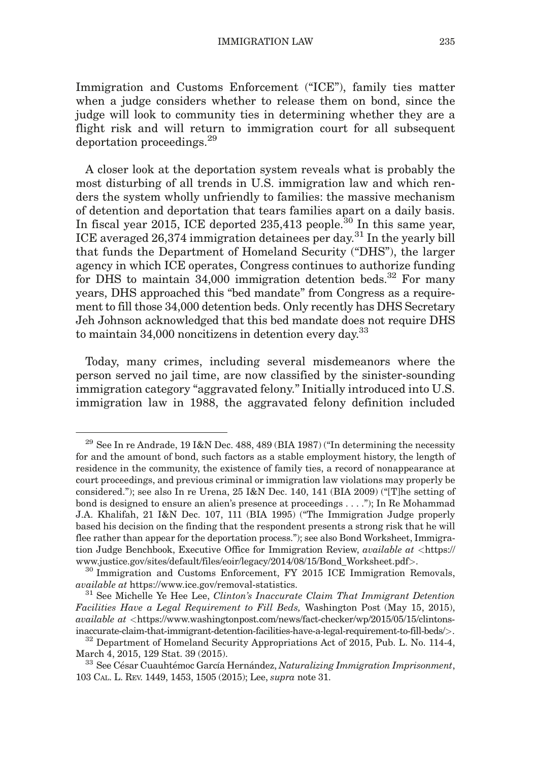Immigration and Customs Enforcement ("ICE"), family ties matter when a judge considers whether to release them on bond, since the judge will look to community ties in determining whether they are a flight risk and will return to immigration court for all subsequent deportation proceedings.<sup>29</sup>

A closer look at the deportation system reveals what is probably the most disturbing of all trends in U.S. immigration law and which renders the system wholly unfriendly to families: the massive mechanism of detention and deportation that tears families apart on a daily basis. In fiscal year 2015, ICE deported  $235,413$  people.<sup>30</sup> In this same year, ICE averaged 26,374 immigration detainees per day.<sup>31</sup> In the yearly bill that funds the Department of Homeland Security ("DHS"), the larger agency in which ICE operates, Congress continues to authorize funding for DHS to maintain  $34,000$  immigration detention beds.<sup>32</sup> For many years, DHS approached this "bed mandate" from Congress as a requirement to fill those 34,000 detention beds. Only recently has DHS Secretary Jeh Johnson acknowledged that this bed mandate does not require DHS to maintain  $34,000$  noncitizens in detention every day.<sup>33</sup>

Today, many crimes, including several misdemeanors where the person served no jail time, are now classified by the sinister-sounding immigration category "aggravated felony." Initially introduced into U.S. immigration law in 1988, the aggravated felony definition included

<sup>&</sup>lt;sup>29</sup> See In re Andrade, 19 I&N Dec. 488, 489 (BIA 1987) ("In determining the necessity for and the amount of bond, such factors as a stable employment history, the length of residence in the community, the existence of family ties, a record of nonappearance at court proceedings, and previous criminal or immigration law violations may properly be considered."); see also In re Urena, 25 I&N Dec. 140, 141 (BIA 2009) ("[T]he setting of bond is designed to ensure an alien's presence at proceedings . . . ."); In Re Mohammad J.A. Khalifah, 21 I&N Dec. 107, 111 (BIA 1995) ("The Immigration Judge properly based his decision on the finding that the respondent presents a strong risk that he will flee rather than appear for the deportation process."); see also Bond Worksheet, Immigration Judge Benchbook, Executive Office for Immigration Review, *available at* <https:// www.justice.gov/sites/default/files/eoir/legacy/2014/08/15/Bond\_Worksheet.pdf>. <sup>30</sup> Immigration and Customs Enforcement, FY 2015 ICE Immigration Removals,

available at https://www.ice.gov/removal-statistics. <sup>31</sup> See Michelle Ye Hee Lee, Clinton's Inaccurate Claim That Immigrant Detention

Facilities Have a Legal Requirement to Fill Beds, Washington Post (May 15, 2015),  $available at <$ https://www.washingtonpost.com/news/fact-checker/wp/2015/05/15/clintons-

inaccurate-claim-that-immigrant-detention-facilities-have-a-legal-requirement-to-fill-beds/>.  $32$  Department of Homeland Security Appropriations Act of 2015, Pub. L. No. 114-4, March 4, 2015, 129 Stat. 39 (2015).

 $^{33}$  See César Cuauhtémoc García Hernández, Naturalizing Immigration Imprisonment, 103 CAL. L. REV. 1449, 1453, 1505 (2015); Lee, supra note 31.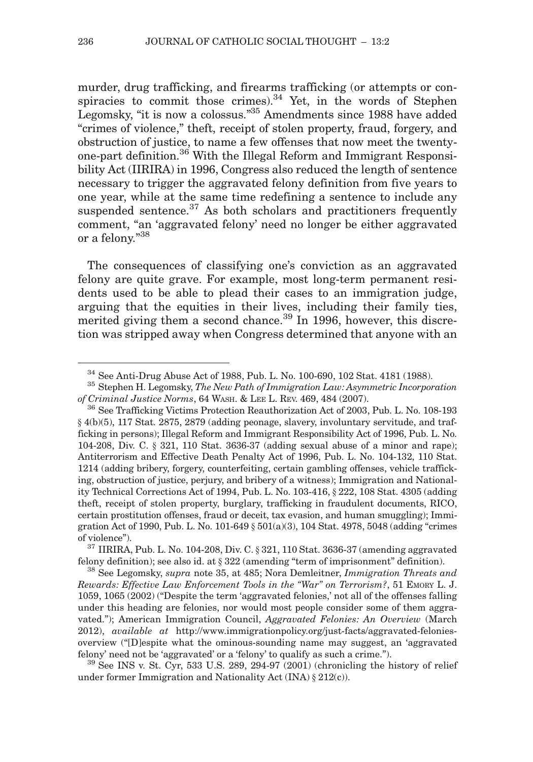murder, drug trafficking, and firearms trafficking (or attempts or conspiracies to commit those crimes). $34$  Yet, in the words of Stephen Legomsky, "it is now a colossus."35 Amendments since 1988 have added "crimes of violence," theft, receipt of stolen property, fraud, forgery, and obstruction of justice, to name a few offenses that now meet the twentyone-part definition.<sup>36</sup> With the Illegal Reform and Immigrant Responsibility Act (IIRIRA) in 1996, Congress also reduced the length of sentence necessary to trigger the aggravated felony definition from five years to one year, while at the same time redefining a sentence to include any suspended sentence.<sup>37</sup> As both scholars and practitioners frequently comment, "an 'aggravated felony' need no longer be either aggravated or a felony."<sup>38</sup>

The consequences of classifying one's conviction as an aggravated felony are quite grave. For example, most long-term permanent residents used to be able to plead their cases to an immigration judge, arguing that the equities in their lives, including their family ties, merited giving them a second chance.<sup>39</sup> In 1996, however, this discretion was stripped away when Congress determined that anyone with an

 $^{34}$  See Anti-Drug Abuse Act of 1988, Pub. L. No. 100-690, 102 Stat. 4181 (1988).  $^{35}$  Stephen H. Legomsky, *The New Path of Immigration Law: Asymmetric Incorporation* 

of Criminal Justice Norms, 64 WASH. & LEE L. REV. 469, 484 (2007).<br><sup>36</sup> See Trafficking Victims Protection Reauthorization Act of 2003, Pub. L. No. 108-193 } 4(b)(5), 117 Stat. 2875, 2879 (adding peonage, slavery, involuntary servitude, and trafficking in persons); Illegal Reform and Immigrant Responsibility Act of 1996, Pub. L. No. 104-208, Div. C. } 321, 110 Stat. 3636-37 (adding sexual abuse of a minor and rape); Antiterrorism and Effective Death Penalty Act of 1996, Pub. L. No. 104-132, 110 Stat. 1214 (adding bribery, forgery, counterfeiting, certain gambling offenses, vehicle trafficking, obstruction of justice, perjury, and bribery of a witness); Immigration and Nationality Technical Corrections Act of 1994, Pub. L. No. 103-416, } 222, 108 Stat. 4305 (adding theft, receipt of stolen property, burglary, trafficking in fraudulent documents, RICO, certain prostitution offenses, fraud or deceit, tax evasion, and human smuggling); Immigration Act of 1990, Pub. L. No. 101-649 } 501(a)(3), 104 Stat. 4978, 5048 (adding "crimes

of violence").<br><sup>37</sup> IIRIRA, Pub. L. No. 104-208, Div. C. § 321, 110 Stat. 3636-37 (amending aggravated<br>felony definition); see also id. at § 322 (amending "term of imprisonment" definition).

 $188$  See Legomsky, supra note 35, at 485; Nora Demleitner, Immigration Threats and Rewards: Effective Law Enforcement Tools in the "War" on Terrorism?, 51 EMORY L. J. 1059, 1065 (2002) ("Despite the term 'aggravated felonies,' not all of the offenses falling under this heading are felonies, nor would most people consider some of them aggravated."); American Immigration Council, Aggravated Felonies: An Overview (March  $2012$ ), *available at* http://www.immigrationpolicy.org/just-facts/aggravated-feloniesoverview ("[D]espite what the ominous-sounding name may suggest, an 'aggravated

felony' need not be 'aggravated' or a 'felony' to qualify as such a crime.").<br><sup>39</sup> See INS v. St. Cyr, 533 U.S. 289, 294-97 (2001) (chronicling the history of relief under former Immigration and Nationality Act (INA)  $\S 212(c)$ ).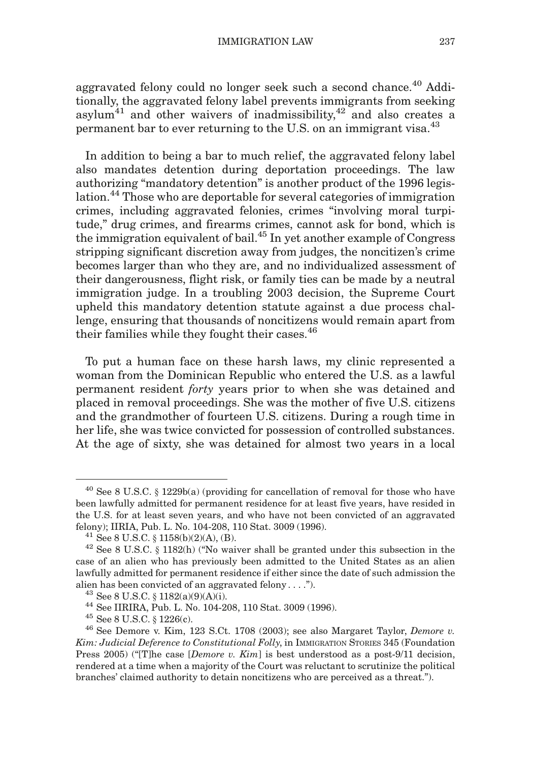aggravated felony could no longer seek such a second chance.<sup>40</sup> Additionally, the aggravated felony label prevents immigrants from seeking asylum $41$  and other waivers of inadmissibility, $42$  and also creates a permanent bar to ever returning to the U.S. on an immigrant visa.<sup>43</sup>

In addition to being a bar to much relief, the aggravated felony label also mandates detention during deportation proceedings. The law authorizing "mandatory detention" is another product of the 1996 legislation.<sup>44</sup> Those who are deportable for several categories of immigration crimes, including aggravated felonies, crimes "involving moral turpitude," drug crimes, and firearms crimes, cannot ask for bond, which is the immigration equivalent of bail.45 In yet another example of Congress stripping significant discretion away from judges, the noncitizen's crime becomes larger than who they are, and no individualized assessment of their dangerousness, flight risk, or family ties can be made by a neutral immigration judge. In a troubling 2003 decision, the Supreme Court upheld this mandatory detention statute against a due process challenge, ensuring that thousands of noncitizens would remain apart from their families while they fought their cases.<sup>46</sup>

To put a human face on these harsh laws, my clinic represented a woman from the Dominican Republic who entered the U.S. as a lawful permanent resident forty years prior to when she was detained and placed in removal proceedings. She was the mother of five U.S. citizens and the grandmother of fourteen U.S. citizens. During a rough time in her life, she was twice convicted for possession of controlled substances. At the age of sixty, she was detained for almost two years in a local

<sup>40</sup> See 8 U.S.C. } 1229b(a) (providing for cancellation of removal for those who have been lawfully admitted for permanent residence for at least five years, have resided in the U.S. for at least seven years, and who have not been convicted of an aggravated felony); IIRIA, Pub. L. No. 104-208, 110 Stat. 3009 (1996).<br><sup>41</sup> See 8 U.S.C. § 1158(b)(2)(A), (B).<br><sup>42</sup> See 8 U.S.C. § 1182(h) ("No waiver shall be granted under this subsection in the

case of an alien who has previously been admitted to the United States as an alien lawfully admitted for permanent residence if either since the date of such admission the alien has been convicted of an aggravated felony . . . .").<br>
<sup>43</sup> See 8 U.S.C. § 1182(a)(9)(A)(i).<br>
<sup>44</sup> See IIRIRA, Pub. L. No. 104-208, 110 Stat. 3009 (1996).<br>
<sup>45</sup> See 8 U.S.C. § 1226(c).<br>
<sup>46</sup> See Demore v. Kim, 123 S

Kim: Judicial Deference to Constitutional Folly, in IMMIGRATION STORIES 345 (Foundation Press 2005) ("The case [Demore v. Kim] is best understood as a post-9/11 decision, rendered at a time when a majority of the Court was reluctant to scrutinize the political branches' claimed authority to detain noncitizens who are perceived as a threat.").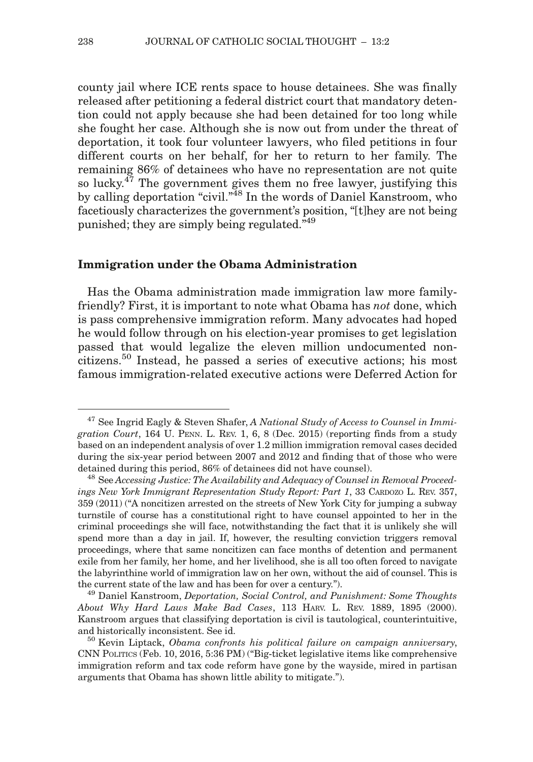county jail where ICE rents space to house detainees. She was finally released after petitioning a federal district court that mandatory detention could not apply because she had been detained for too long while she fought her case. Although she is now out from under the threat of deportation, it took four volunteer lawyers, who filed petitions in four different courts on her behalf, for her to return to her family. The remaining 86% of detainees who have no representation are not quite so lucky.47 The government gives them no free lawyer, justifying this by calling deportation "civil."<sup>48</sup> In the words of Daniel Kanstroom, who facetiously characterizes the government's position, "[t]hey are not being punished; they are simply being regulated."<sup>49</sup>

#### Immigration under the Obama Administration

Has the Obama administration made immigration law more familyfriendly? First, it is important to note what Obama has not done, which is pass comprehensive immigration reform. Many advocates had hoped he would follow through on his election-year promises to get legislation passed that would legalize the eleven million undocumented noncitizens.<sup>50</sup> Instead, he passed a series of executive actions; his most famous immigration-related executive actions were Deferred Action for

 $47$  See Ingrid Eagly & Steven Shafer, A National Study of Access to Counsel in Immigration Court, 164 U. PENN. L. REV. 1, 6, 8 (Dec. 2015) (reporting finds from a study based on an independent analysis of over 1.2 million immigration removal cases decided during the six-year period between 2007 and 2012 and finding that of those who were detained during this period, 86% of detainees did not have counsel).<br><sup>48</sup> See Accessing Justice: The Availability and Adequacy of Counsel in Removal Proceed-

ings New York Immigrant Representation Study Report: Part 1, 33 CARDOZO L. REV. 357, 359 (2011) ("A noncitizen arrested on the streets of New York City for jumping a subway turnstile of course has a constitutional right to have counsel appointed to her in the criminal proceedings she will face, notwithstanding the fact that it is unlikely she will spend more than a day in jail. If, however, the resulting conviction triggers removal proceedings, where that same noncitizen can face months of detention and permanent exile from her family, her home, and her livelihood, she is all too often forced to navigate the labyrinthine world of immigration law on her own, without the aid of counsel. This is the current state of the law and has been for over a century.").<br><sup>49</sup> Daniel Kanstroom, *Deportation, Social Control, and Punishment: Some Thoughts* 

About Why Hard Laws Make Bad Cases, 113 HARV. L. REV. 1889, 1895 (2000). Kanstroom argues that classifying deportation is civil is tautological, counterintuitive, and historically inconsistent. See id.<br><sup>50</sup> Kevin Liptack, *Obama confronts his political failure on campaign anniversary*,

CNN POLITICS (Feb. 10, 2016, 5:36 PM) ("Big-ticket legislative items like comprehensive immigration reform and tax code reform have gone by the wayside, mired in partisan arguments that Obama has shown little ability to mitigate.").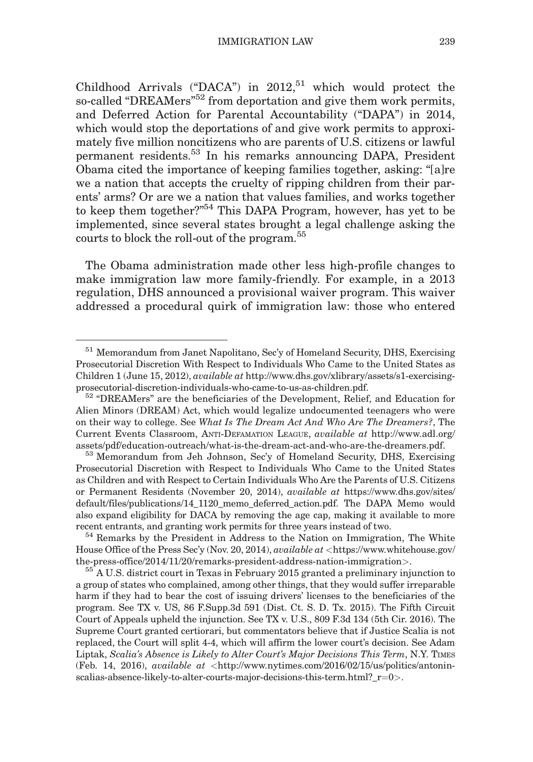Childhood Arrivals ("DACA") in  $2012$ <sup>51</sup> which would protect the so-called "DREAMers"<sup>52</sup> from deportation and give them work permits, and Deferred Action for Parental Accountability ("DAPA") in 2014, which would stop the deportations of and give work permits to approximately five million noncitizens who are parents of U.S. citizens or lawful permanent residents.53 In his remarks announcing DAPA, President Obama cited the importance of keeping families together, asking: "[a]re we a nation that accepts the cruelty of ripping children from their parents' arms? Or are we a nation that values families, and works together to keep them together?"54 This DAPA Program, however, has yet to be implemented, since several states brought a legal challenge asking the courts to block the roll-out of the program.<sup>55</sup>

The Obama administration made other less high-profile changes to make immigration law more family-friendly. For example, in a 2013 regulation, DHS announced a provisional waiver program. This waiver addressed a procedural quirk of immigration law: those who entered

<sup>51</sup> Memorandum from Janet Napolitano, Sec'y of Homeland Security, DHS, Exercising Prosecutorial Discretion With Respect to Individuals Who Came to the United States as Children 1 (June 15, 2012), available at http://www.dhs.gov/xlibrary/assets/s1-exercisingprosecutorial-discretion-individuals-who-came-to-us-as-children.pdf. <sup>52</sup> "DREAMers" are the beneficiaries of the Development, Relief, and Education for

Alien Minors (DREAM) Act, which would legalize undocumented teenagers who were on their way to college. See What Is The Dream Act And Who Are The Dreamers?, The Current Events Classroom, ANTI-DEFAMATION LEAGUE, available at http://www.adl.org/ assets/pdf/education-outreach/what-is-the-dream-act-and-who-are-the-dreamers.pdf. <sup>53</sup> Memorandum from Jeh Johnson, Sec'y of Homeland Security, DHS, Exercising

Prosecutorial Discretion with Respect to Individuals Who Came to the United States as Children and with Respect to Certain Individuals Who Are the Parents of U.S. Citizens or Permanent Residents (November 20, 2014), available at https://www.dhs.gov/sites/ default/files/publications/14\_1120\_memo\_deferred\_action.pdf. The DAPA Memo would also expand eligibility for DACA by removing the age cap, making it available to more recent entrants, and granting work permits for three years instead of two. <sup>54</sup> Remarks by the President in Address to the Nation on Immigration, The White

House Office of the Press Sec'y (Nov. 20, 2014), *available at* <https://www.whitehouse.gov/ the-press-office/2014/11/20/remarks-president-address-nation-immigration>.  $55$  A U.S. district court in Texas in February 2015 granted a preliminary injunction to

a group of states who complained, among other things, that they would suffer irreparable harm if they had to bear the cost of issuing drivers' licenses to the beneficiaries of the program. See TX v. US, 86 F.Supp.3d 591 (Dist. Ct. S. D. Tx. 2015). The Fifth Circuit Court of Appeals upheld the injunction. See TX v. U.S., 809 F.3d 134 (5th Cir. 2016). The Supreme Court granted certiorari, but commentators believe that if Justice Scalia is not replaced, the Court will split 4-4, which will affirm the lower court's decision. See Adam Liptak, Scalia's Absence is Likely to Alter Court's Major Decisions This Term, N.Y. TIMES (Feb. 14, 2016), *available at* <http://www.nytimes.com/2016/02/15/us/politics/antonin $s$ calias-absence-likely-to-alter-courts-major-decisions-this-term.html?\_r=0>.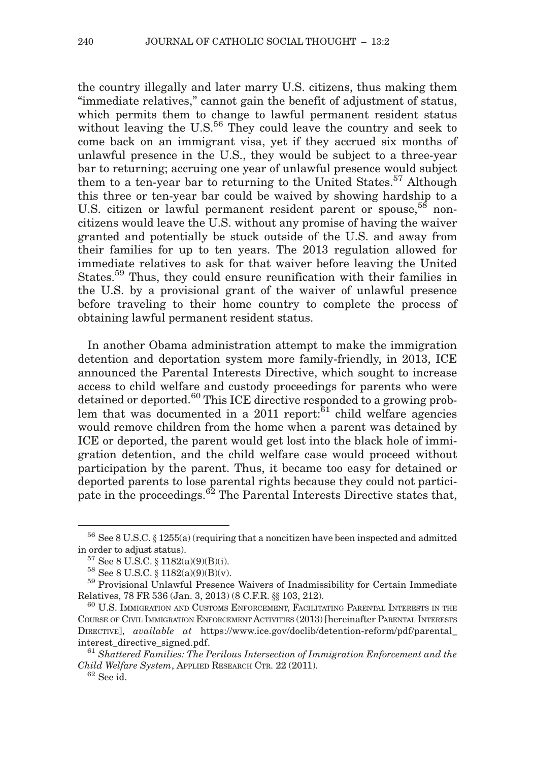the country illegally and later marry U.S. citizens, thus making them "immediate relatives," cannot gain the benefit of adjustment of status, which permits them to change to lawful permanent resident status without leaving the U.S.<sup>56</sup> They could leave the country and seek to come back on an immigrant visa, yet if they accrued six months of unlawful presence in the U.S., they would be subject to a three-year bar to returning; accruing one year of unlawful presence would subject them to a ten-year bar to returning to the United States.<sup>57</sup> Although this three or ten-year bar could be waived by showing hardship to a U.S. citizen or lawful permanent resident parent or spouse,  $58$  noncitizens would leave the U.S. without any promise of having the waiver granted and potentially be stuck outside of the U.S. and away from their families for up to ten years. The 2013 regulation allowed for immediate relatives to ask for that waiver before leaving the United States.<sup>59</sup> Thus, they could ensure reunification with their families in the U.S. by a provisional grant of the waiver of unlawful presence before traveling to their home country to complete the process of obtaining lawful permanent resident status.

In another Obama administration attempt to make the immigration detention and deportation system more family-friendly, in 2013, ICE announced the Parental Interests Directive, which sought to increase access to child welfare and custody proceedings for parents who were detained or deported.<sup>60</sup> This ICE directive responded to a growing problem that was documented in a 2011 report: $61$  child welfare agencies would remove children from the home when a parent was detained by ICE or deported, the parent would get lost into the black hole of immigration detention, and the child welfare case would proceed without participation by the parent. Thus, it became too easy for detained or deported parents to lose parental rights because they could not participate in the proceedings.<sup>62</sup> The Parental Interests Directive states that,

 $56$  See 8 U.S.C. § 1255(a) (requiring that a noncitizen have been inspected and admitted

in order to adjust status).<br><sup>57</sup> See 8 U.S.C. § 1182(a)(9)(B)(i).<br><sup>58</sup> See 8 U.S.C. § 1182(a)(9)(B)(v).<br><sup>59</sup> Provisional Unlawful Presence Waivers of Inadmissibility for Certain Immediate Relatives, 78 FR 536 (Jan. 3, 2013) (8 C.F.R. §§ 103, 212).  $^{60}$  U.S. IMMIGRATION AND CUSTOMS ENFORCEMENT, FACILITATING PARENTAL INTERESTS IN THE

COURSE OF CIVIL IMMIGRATION ENFORCEMENT ACTIVITIES (2013) [hereinafter PARENTAL INTERESTS DIRECTIVE], available at https://www.ice.gov/doclib/detention-reform/pdf/parental\_ interest\_directive\_signed.pdf.<br><sup>61</sup> Shattered Families: The Perilous Intersection of Immigration Enforcement and the

Child Welfare System, APPLIED RESEARCH CTR. 22 (2011).<br> $62$  See id.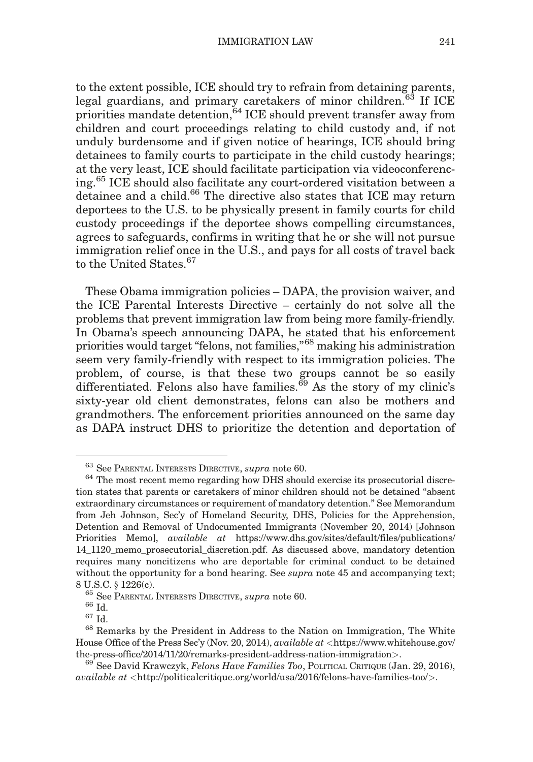to the extent possible, ICE should try to refrain from detaining parents, legal guardians, and primary caretakers of minor children.<sup>63</sup> If ICE priorities mandate detention,<sup>64</sup> ICE should prevent transfer away from children and court proceedings relating to child custody and, if not unduly burdensome and if given notice of hearings, ICE should bring detainees to family courts to participate in the child custody hearings; at the very least, ICE should facilitate participation via videoconferencing.<sup>65</sup> ICE should also facilitate any court-ordered visitation between a detainee and a child.<sup>66</sup> The directive also states that ICE may return deportees to the U.S. to be physically present in family courts for child custody proceedings if the deportee shows compelling circumstances, agrees to safeguards, confirms in writing that he or she will not pursue immigration relief once in the U.S., and pays for all costs of travel back to the United States.<sup>67</sup>

These Obama immigration policies – DAPA, the provision waiver, and the ICE Parental Interests Directive – certainly do not solve all the problems that prevent immigration law from being more family-friendly. In Obama's speech announcing DAPA, he stated that his enforcement priorities would target "felons, not families,"<sup>68</sup> making his administration seem very family-friendly with respect to its immigration policies. The problem, of course, is that these two groups cannot be so easily differentiated. Felons also have families. $69$  As the story of my clinic's sixty-year old client demonstrates, felons can also be mothers and grandmothers. The enforcement priorities announced on the same day as DAPA instruct DHS to prioritize the detention and deportation of

<sup>&</sup>lt;sup>63</sup> See PARENTAL INTERESTS DIRECTIVE, *supra* note 60.<br><sup>64</sup> The most recent memo regarding how DHS should exercise its prosecutorial discretion states that parents or caretakers of minor children should not be detained "absent extraordinary circumstances or requirement of mandatory detention." See Memorandum from Jeh Johnson, Sec'y of Homeland Security, DHS, Policies for the Apprehension, Detention and Removal of Undocumented Immigrants (November 20, 2014) [Johnson Priorities Memo], available at https://www.dhs.gov/sites/default/files/publications/ 14\_1120\_memo\_prosecutorial\_discretion.pdf. As discussed above, mandatory detention requires many noncitizens who are deportable for criminal conduct to be detained without the opportunity for a bond hearing. See supra note 45 and accompanying text; 8 U.S.C. § 1226(c).<br><sup>65</sup> See PARENTAL INTERESTS DIRECTIVE, *supra* note 60.<br><sup>66</sup> Id. <sup>67</sup> Id. <sup>68</sup> Remarks by the President in Address to the Nation on Immigration, The White

House Office of the Press Sec'y (Nov. 20, 2014), *available at* <https://www.whitehouse.gov/ the-press-office/2014/11/20/remarks-president-address-nation-immigration>.<br><sup>69</sup> See David Krawczyk, *Felons Have Families Too*, POLITICAL CRITIQUE (Jan. 29, 2016),

 $available at [http://politicalcritique.org/world/usa/2016/felons-have-families-too/>.](http://politicalcritique.org/world/usa/2016/felons-have-families-too/)$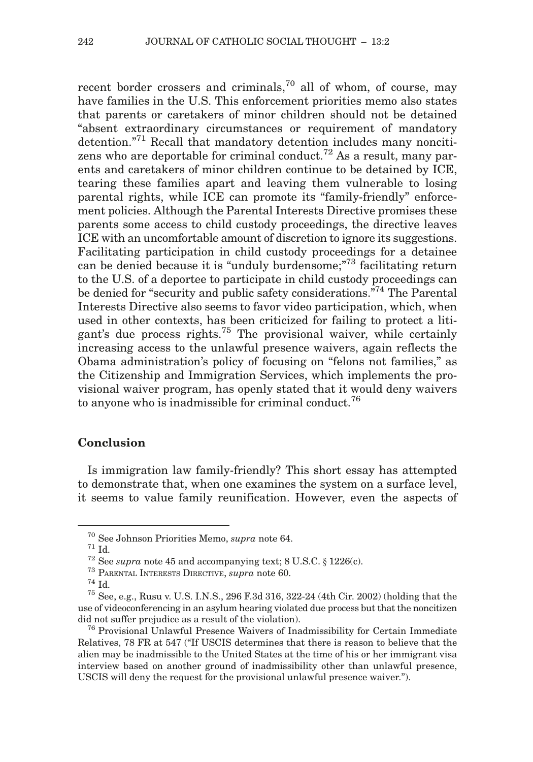recent border crossers and criminals,<sup>70</sup> all of whom, of course, may have families in the U.S. This enforcement priorities memo also states that parents or caretakers of minor children should not be detained "absent extraordinary circumstances or requirement of mandatory detention.<sup>"71</sup> Recall that mandatory detention includes many noncitizens who are deportable for criminal conduct.<sup>72</sup> As a result, many parents and caretakers of minor children continue to be detained by ICE, tearing these families apart and leaving them vulnerable to losing parental rights, while ICE can promote its "family-friendly" enforcement policies. Although the Parental Interests Directive promises these parents some access to child custody proceedings, the directive leaves ICE with an uncomfortable amount of discretion to ignore its suggestions. Facilitating participation in child custody proceedings for a detainee can be denied because it is "unduly burdensome;"<sup>73</sup> facilitating return to the U.S. of a deportee to participate in child custody proceedings can be denied for "security and public safety considerations."74 The Parental Interests Directive also seems to favor video participation, which, when used in other contexts, has been criticized for failing to protect a litigant's due process rights.<sup>75</sup> The provisional waiver, while certainly increasing access to the unlawful presence waivers, again reflects the Obama administration's policy of focusing on "felons not families," as the Citizenship and Immigration Services, which implements the provisional waiver program, has openly stated that it would deny waivers to anyone who is inadmissible for criminal conduct.<sup>76</sup>

#### **Conclusion**

Is immigration law family-friendly? This short essay has attempted to demonstrate that, when one examines the system on a surface level, it seems to value family reunification. However, even the aspects of

<sup>&</sup>lt;sup>70</sup> See Johnson Priorities Memo, *supra* note 64.<br>
<sup>71</sup> Id.<br>
<sup>72</sup> See *supra* note 45 and accompanying text; 8 U.S.C. § 1226(c).<br>
<sup>73</sup> PARENTAL INTERESTS DIRECTIVE, *supra* note 60.<br>
<sup>74</sup> Id.<br>
<sup>75</sup> See, e.g., Rusu v. U.S use of videoconferencing in an asylum hearing violated due process but that the noncitizen did not suffer prejudice as a result of the violation).<br><sup>76</sup> Provisional Unlawful Presence Waivers of Inadmissibility for Certain Immediate

Relatives, 78 FR at 547 ("If USCIS determines that there is reason to believe that the alien may be inadmissible to the United States at the time of his or her immigrant visa interview based on another ground of inadmissibility other than unlawful presence, USCIS will deny the request for the provisional unlawful presence waiver.").